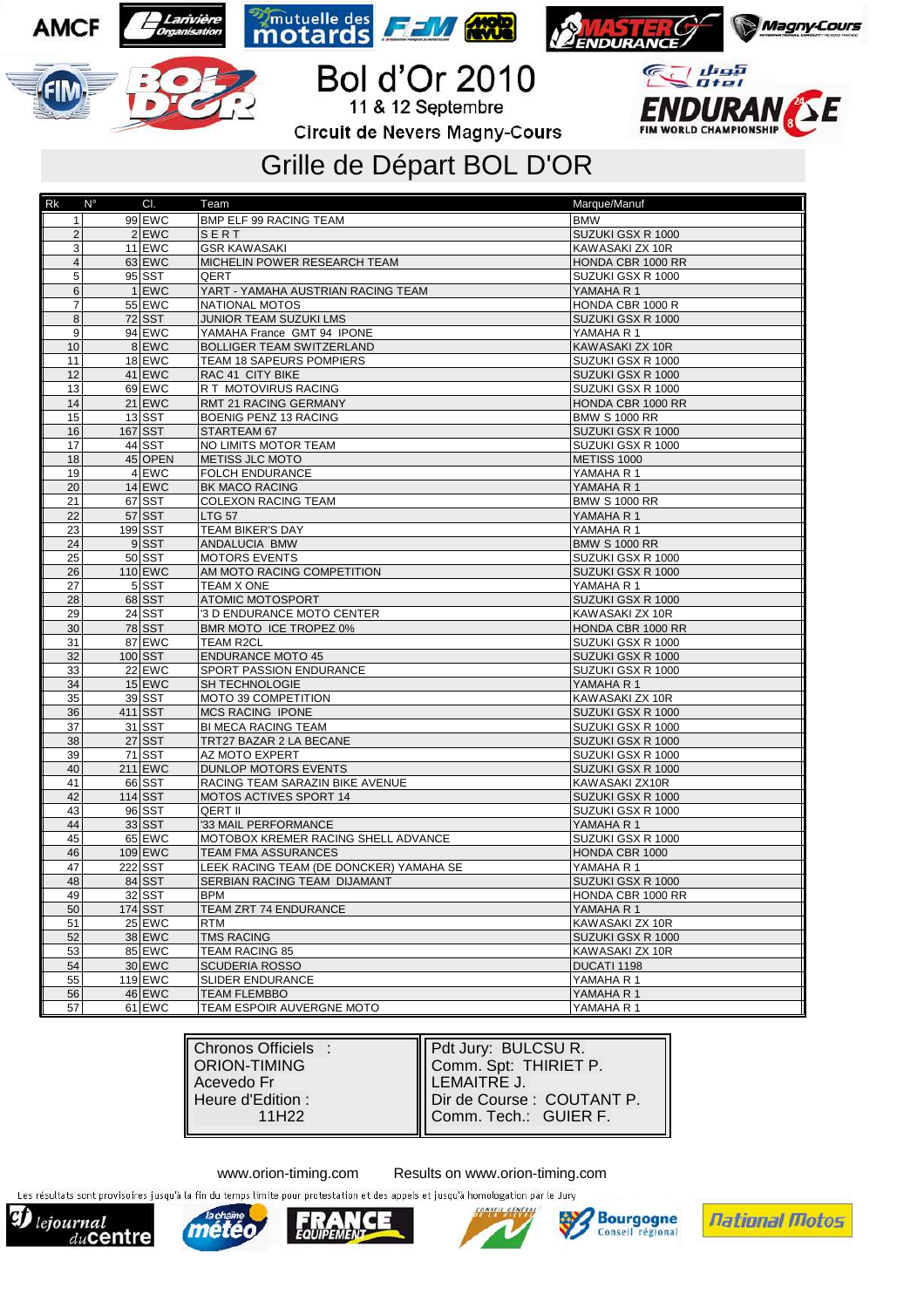





**Bol d'Or 2010 Circuit de Nevers Magny-Cours** 

## Grille de Départ BOL D'OR

| $Rk$ $N^{\circ}$        | CI.         | Team                                    | Marque/Manuf         |
|-------------------------|-------------|-----------------------------------------|----------------------|
| $\mathbf{1}$            | 99 EWC      | <b>BMP ELF 99 RACING TEAM</b>           | <b>BMW</b>           |
| $\overline{2}$          | 2 EWC       | SERT                                    | SUZUKI GSX R 1000    |
| 3                       | $11$ EWC    | <b>GSR KAWASAKI</b>                     | KAWASAKI ZX 10R      |
| $\overline{\mathbf{4}}$ | 63 EWC      | MICHELIN POWER RESEARCH TEAM            | HONDA CBR 1000 RR    |
| 5                       | $95$ $SST$  | QERT                                    | SUZUKI GSX R 1000    |
| $6\phantom{1}$          | 1 EWC       | YART - YAMAHA AUSTRIAN RACING TEAM      | YAMAHA R 1           |
| $\overline{7}$          | 55 EWC      | <b>NATIONAL MOTOS</b>                   | HONDA CBR 1000 R     |
| 8                       | $72$ SST    | JUNIOR TEAM SUZUKI LMS                  | SUZUKI GSX R 1000    |
| 9                       | $94$ EWC    | YAMAHA France GMT 94 IPONE              | YAMAHA R 1           |
| 10                      | 8 EWC       | <b>BOLLIGER TEAM SWITZERLAND</b>        | KAWASAKI ZX 10R      |
| 11                      | $18$ EWC    | TEAM 18 SAPEURS POMPIERS                | SUZUKI GSX R 1000    |
| 12                      | $41$ EWC    | RAC 41 CITY BIKE                        | SUZUKI GSX R 1000    |
| 13                      | $69$ EWC    | R T MOTOVIRUS RACING                    | SUZUKI GSX R 1000    |
| 14                      | $21$ EWC    | RMT 21 RACING GERMANY                   | HONDA CBR 1000 RR    |
| 15                      | $13$ SST    | BOENIG PENZ 13 RACING                   | <b>BMW S 1000 RR</b> |
| 16                      | $167$ $SST$ | STARTEAM 67                             | SUZUKI GSX R 1000    |
| 17                      | $44$ SST    | NO LIMITS MOTOR TEAM                    | SUZUKI GSX R 1000    |
| 18                      | 45 OPEN     | <b>METISS JLC MOTO</b>                  | METISS 1000          |
| 19                      | 4 EWC       | <b>FOLCH ENDURANCE</b>                  | YAMAHA R 1           |
| 20                      | $14$ EWC    | BK MACO RACING                          | YAMAHA R 1           |
| 21                      | $67$ $SST$  | <b>COLEXON RACING TEAM</b>              | <b>BMW S 1000 RR</b> |
| 22                      | $57$ SST    | <b>LTG 57</b>                           | YAMAHA R 1           |
| 23                      | $199$ $SST$ | TEAM BIKER'S DAY                        | YAMAHA R 1           |
| 24                      | 9SST        | ANDALUCIA BMW                           | <b>BMW S 1000 RR</b> |
| 25                      | $50$ $SST$  | <b>MOTORS EVENTS</b>                    | SUZUKI GSX R 1000    |
| 26                      | 110 EWC     | AM MOTO RACING COMPETITION              | SUZUKI GSX R 1000    |
| 27                      | 5 SST       | <b>TEAM X ONE</b>                       | YAMAHA R 1           |
| 28                      | 68 SST      | <b>ATOMIC MOTOSPORT</b>                 | SUZUKI GSX R 1000    |
| 29                      | $24$ SST    | '3 D ENDURANCE MOTO CENTER              | KAWASAKI ZX 10R      |
| 30                      | 78 SST      | BMR MOTO ICE TROPEZ 0%                  | HONDA CBR 1000 RR    |
| 31                      | 87 EWC      | <b>TEAM R2CL</b>                        | SUZUKI GSX R 1000    |
| 32                      | $100$ $SST$ | <b>ENDURANCE MOTO 45</b>                | SUZUKI GSX R 1000    |
| 33                      | $22$ EWC    | SPORT PASSION ENDURANCE                 | SUZUKI GSX R 1000    |
| 34                      | $15$ EWC    | SH TECHNOLOGIE                          | YAMAHA R 1           |
| 35                      | $39$ $SST$  | MOTO 39 COMPETITION                     | KAWASAKI ZX 10R      |
| 36                      | $411$ SST   | <b>MCS RACING IPONE</b>                 | SUZUKI GSX R 1000    |
| 37                      | $31$ SST    | BI MECA RACING TEAM                     | SUZUKI GSX R 1000    |
| 38                      | $27$ SST    | TRT27 BAZAR 2 LA BECANE                 | SUZUKI GSX R 1000    |
| 39                      | $71$ SST    | AZ MOTO EXPERT                          | SUZUKI GSX R 1000    |
| 40                      | 211 EWC     | DUNLOP MOTORS EVENTS                    | SUZUKI GSX R 1000    |
| 41                      | $66$ $SST$  | RACING TEAM SARAZIN BIKE AVENUE         | KAWASAKI ZX10R       |
| 42                      | $114$ SST   | MOTOS ACTIVES SPORT 14                  | SUZUKI GSX R 1000    |
| 43                      | $96$ $SST$  | QERT II                                 | SUZUKI GSX R 1000    |
| 44                      | 33 SST      | '33 MAIL PERFORMANCE                    | YAMAHA R 1           |
| 45                      | $65$ EWC    | MOTOBOX KREMER RACING SHELL ADVANCE     | SUZUKI GSX R 1000    |
| 46                      | $109$ EWC   | TEAM FMA ASSURANCES                     | HONDA CBR 1000       |
| 47                      | $222$ SST   | LEEK RACING TEAM (DE DONCKER) YAMAHA SE | YAMAHA R 1           |
| 48                      | 84 SST      | SERBIAN RACING TEAM DIJAMANT            | SUZUKI GSX R 1000    |
| 49                      | $32$ SST    | <b>BPM</b>                              | HONDA CBR 1000 RR    |
| 50                      | $174$ $SST$ | TEAM ZRT 74 ENDURANCE                   | YAMAHA R 1           |
| 51                      | $25$ EWC    | <b>RTM</b>                              | KAWASAKI ZX 10R      |
| 52                      | 38 EWC      | <b>TMS RACING</b>                       | SUZUKI GSX R 1000    |
| 53                      | 85 EWC      | TEAM RACING 85                          | KAWASAKI ZX 10R      |
| 54                      | 30 EWC      | <b>SCUDERIA ROSSO</b>                   | DUCATI 1198          |
| 55                      | $119$ EWC   | <b>SLIDER ENDURANCE</b>                 | YAMAHA R 1           |
| 56                      | $46$ EWC    | <b>TEAM FLEMBBO</b>                     | YAMAHA R 1           |
| 57                      | $61$ EWC    | TEAM ESPOIR AUVERGNE MOTO               | YAMAHA R 1           |

www.orion-timing.com Results on www.orion-timing.com Les résultats sont provisoires jusqu'à la fin du temps limite pour protestation et des appels et jusqu'à homologation par le Jury

lejournal  $du$ centre

**AMCF**